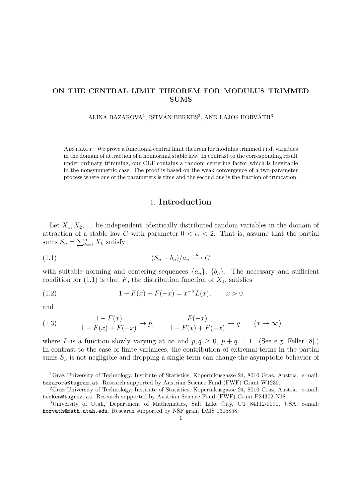## **ON THE CENTRAL LIMIT THEOREM FOR MODULUS TRIMMED SUMS**

### ALINA BAZAROVA<sup>1</sup>, ISTVÁN BERKES<sup>2</sup>, AND LAJOS HORVÁTH<sup>3</sup>

Abstract. We prove a functional central limit theorem for modulus trimmed i.i.d. variables in the domain of attraction of a nonnormal stable law. In contrast to the corresponding result under ordinary trimming, our CLT contains a random centering factor which is inevitable in the nonsymmetric case. The proof is based on the weak convergence of a two-parameter process where one of the parameters is time and the second one is the fraction of truncation.

# 1. **Introduction**

Let  $X_1, X_2, \ldots$  be independent, identically distributed random variables in the domain of attraction of a stable law *G* with parameter  $0 < \alpha < 2$ . That is, assume that the partial sums  $S_n = \sum_{k=1}^n X_k$  satisfy

$$
(1.1)\t\t\t\t(S_n - b_n)/a_n \xrightarrow{d} G
$$

with suitable norming and centering sequences  $\{a_n\}$ ,  $\{b_n\}$ . The necessary and sufficient condition for  $(1.1)$  is that *F*, the distribution function of  $X_1$ , satisfies

(1.2) 
$$
1 - F(x) + F(-x) = x^{-\alpha}L(x), \qquad x > 0
$$

and

(1.3) 
$$
\frac{1 - F(x)}{1 - F(x) + F(-x)} \to p, \qquad \frac{F(-x)}{1 - F(x) + F(-x)} \to q \qquad (x \to \infty)
$$

where *L* is a function slowly varying at  $\infty$  and  $p, q \ge 0$ ,  $p + q = 1$ . (See e.g. Feller [8].) In contrast to the case of finite variances, the contribution of extremal terms in the partial sums  $S_n$  is not negligible and dropping a single term can change the asymptotic behavior of

<sup>1</sup>Graz University of Technology, Institute of Statistics, Kopernikusgasse 24, 8010 Graz, Austria. e-mail: bazarova@tugraz.at. Research supported by Austrian Science Fund (FWF) Grant W1230.

<sup>2</sup>Graz University of Technology, Institute of Statistics, Kopernikusgasse 24, 8010 Graz, Austria. e-mail: berkes@tugraz.at. Research supported by Austrian Science Fund (FWF) Grant P24302-N18.

<sup>3</sup>University of Utah, Department of Mathematics, Salt Lake City, UT 84112-0090, USA. e-mail: horvath@math.utah.edu. Research supported by NSF grant DMS 1305858.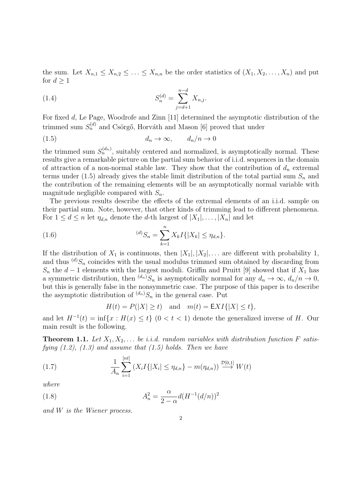the sum. Let  $X_{n,1} \leq X_{n,2} \leq \ldots \leq X_{n,n}$  be the order statistics of  $(X_1, X_2, \ldots, X_n)$  and put for  $d \geq 1$ 

(1.4) 
$$
S_n^{(d)} = \sum_{j=d+1}^{n-d} X_{n,j}.
$$

For fixed *d*, Le Page, Woodrofe and Zinn [11] determined the asymptotic distribution of the trimmed sum  $S_n^{(d)}$  and Csörgő, Horváth and Mason [6] proved that under

$$
(1.5) \t\t d_n \to \infty, \t d_n/n \to 0
$$

the trimmed sum  $S_n^{(d_n)}$ , suitably centered and normalized, is asymptotically normal. These results give a remarkable picture on the partial sum behavior of i.i.d. sequences in the domain of attraction of a non-normal stable law. They show that the contribution of  $d<sub>n</sub>$  extremal terms under (1.5) already gives the stable limit distribution of the total partial sum *S<sup>n</sup>* and the contribution of the remaining elements will be an asymptotically normal variable with magnitude negligible compared with *Sn*.

The previous results describe the effects of the extremal elements of an i.i.d. sample on their partial sum. Note, however, that other kinds of trimming lead to different phenomena. For  $1 \leq d \leq n$  let  $\eta_{d,n}$  denote the *d*-th largest of  $|X_1|, \ldots, |X_n|$  and let

(1.6) 
$$
{}^{(d)}S_n = \sum_{k=1}^n X_k I\{|X_k| \leq \eta_{d,n}\}.
$$

If the distribution of  $X_1$  is continuous, then  $|X_1|, |X_2|, \ldots$  are different with probability 1, and thus  $^{(d)}S_n$  coincides with the usual modulus trimmed sum obtained by discarding from  $S_n$  the *d* − 1 elements with the largest moduli. Griffin and Pruitt [9] showed that if  $X_1$  has a symmetric distribution, then  $^{(d_n)}S_n$  is asymptotically normal for any  $d_n \to \infty$ ,  $d_n/n \to 0$ , but this is generally false in the nonsymmetric case. The purpose of this paper is to describe the asymptotic distribution of  $^{(d_n)}S_n$  in the general case. Put

$$
H(t) = P(|X| \ge t) \quad \text{and} \quad m(t) = \mathsf{E}XI\{|X| \le t\},
$$

and let  $H^{-1}(t) = \inf\{x : H(x) \le t\}$  (0 < t < 1) denote the generalized inverse of *H*. Our main result is the following.

**Theorem 1.1.** Let  $X_1, X_2, \ldots$  be *i.i.d.* random variables with distribution function F satis*fying (1.2), (1.3) and assume that (1.5) holds. Then we have*

(1.7) 
$$
\frac{1}{A_n} \sum_{i=1}^{[nt]} (X_i I\{|X_i| \le \eta_{d,n}\} - m(\eta_{d,n})) \stackrel{\mathcal{D}[0,1]}{\longrightarrow} W(t)
$$

*where*

(1.8) 
$$
A_n^2 = \frac{\alpha}{2 - \alpha} d(H^{-1}(d/n))^2
$$

*and W is the Wiener process.*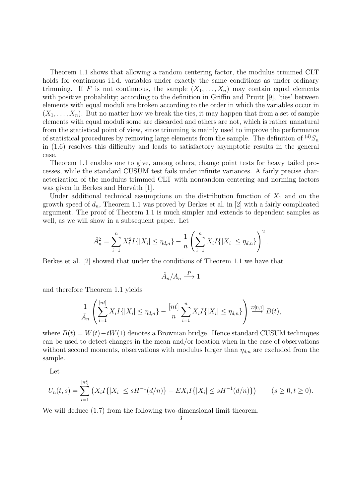Theorem 1.1 shows that allowing a random centering factor, the modulus trimmed CLT holds for continuous i.i.d. variables under exactly the same conditions as under ordinary trimming. If *F* is not continuous, the sample  $(X_1, \ldots, X_n)$  may contain equal elements with positive probability; according to the definition in Griffin and Pruitt [9], 'ties' between elements with equal moduli are broken according to the order in which the variables occur in  $(X_1, \ldots, X_n)$ . But no matter how we break the ties, it may happen that from a set of sample elements with equal moduli some are discarded and others are not, which is rather unnatural from the statistical point of view, since trimming is mainly used to improve the performance of statistical procedures by removing large elements from the sample. The definition of  $^{(d)}S_n$ in (1.6) resolves this difficulty and leads to satisfactory asymptotic results in the general case.

Theorem 1.1 enables one to give, among others, change point tests for heavy tailed processes, while the standard CUSUM test fails under infinite variances. A fairly precise characterization of the modulus trimmed CLT with nonrandom centering and norming factors was given in Berkes and Horváth [1].

Under additional technical assumptions on the distribution function of  $X_1$  and on the growth speed of  $d_n$ , Theorem 1.1 was proved by Berkes et al. in [2] with a fairly complicated argument. The proof of Theorem 1.1 is much simpler and extends to dependent samples as well, as we will show in a subsequent paper. Let

$$
\hat{A}_n^2 = \sum_{i=1}^n X_i^2 I\{|X_i| \leq \eta_{d,n}\} - \frac{1}{n} \left( \sum_{i=1}^n X_i I\{|X_i| \leq \eta_{d,n}\} \right)^2.
$$

Berkes et al. [2] showed that under the conditions of Theorem 1.1 we have that

$$
\hat{A}_n/A_n \stackrel{P}{\longrightarrow} 1
$$

and therefore Theorem 1.1 yields

$$
\frac{1}{\hat{A}_n} \left( \sum_{i=1}^{[nt]} X_i I\{|X_i| \leq \eta_{d,n}\} - \frac{[nt]}{n} \sum_{i=1}^n X_i I\{|X_i| \leq \eta_{d,n}\} \right) \stackrel{\mathcal{D}[0,1]}{\longrightarrow} B(t),
$$

where  $B(t) = W(t) - tW(1)$  denotes a Brownian bridge. Hence standard CUSUM techniques can be used to detect changes in the mean and/or location when in the case of observations without second moments, observations with modulus larger than  $\eta_{d,n}$  are excluded from the sample.

Let

$$
U_n(t,s) = \sum_{i=1}^{[nt]} \left( X_i I\{|X_i| \le sH^{-1}(d/n) \} - EX_i I\{|X_i| \le sH^{-1}(d/n) \} \right) \qquad (s \ge 0, t \ge 0).
$$

We will deduce  $(1.7)$  from the following two-dimensional limit theorem.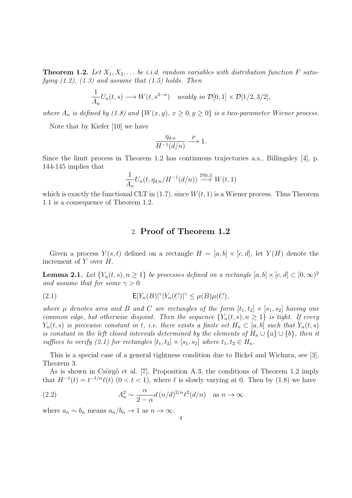**Theorem 1.2.** Let  $X_1, X_2, \ldots$  be *i.i.d.* random variables with distribution function F satis*fying (1.2), (1.3) and assume that (1.5) holds. Then*

$$
\frac{1}{A_n}U_n(t,s) \longrightarrow W(t,s^{2-\alpha}) \quad weakly \in \mathcal{D}[0,1] \times \mathcal{D}[1/2,3/2],
$$

*where*  $A_n$  *is defined by* (1.8) and  $\{W(x, y), x \ge 0, y \ge 0\}$  *is a two-parameter Wiener process.* 

Note that by Kiefer [10] we have

$$
\frac{\eta_{d,n}}{H^{-1}(d/n)} \xrightarrow{P} 1.
$$

Since the limit process in Theorem 1.2 has continuous trajectories a.s., Billingsley [4], p. 144-145 implies that

$$
\frac{1}{A_n}U_n(t, \eta_{d,n}/H^{-1}(d/n)) \stackrel{\mathcal{D}[0,1]}{\longrightarrow} W(t,1)
$$

which is exactly the functional CLT in  $(1.7)$ , since  $W(t, 1)$  is a Wiener process. Thus Theorem 1.1 is a consequence of Theorem 1.2.

# 2. **Proof of Theorem 1.2**

Given a process  $Y(s,t)$  defined on a rectangle  $H = [a, b] \times [c, d]$ , let  $Y(H)$  denote the increment of *Y* over *H*.

**Lemma 2.1.** *Let*  $\{Y_n(t,s), n \geq 1\}$  *be processes defined on a rectangle*  $[a, b] \times [c, d] \subset [0, \infty)^2$ *and assume that for some*  $\gamma > 0$ 

(2.1) 
$$
\mathsf{E}|Y_n(B)|^{\gamma}|Y_n(C)|^{\gamma} \leq \mu(B)\mu(C),
$$

*where*  $\mu$  *denotes area and*  $B$  *and*  $C$  *are rectangles of the form*  $[t_1, t_2] \times [s_1, s_2]$  *having one common edge, but otherwise disjoint. Then the sequence*  $\{Y_n(t,s), n \geq 1\}$  *is tight. If every Y*<sub>n</sub>(*t, s*) *is piecewise constant in <i>t, i.e. there exists a finite set*  $H_n \subset [a, b]$  *such that*  $Y_n(t, s)$ *is constant in the left closed intervals determined by the elements of*  $H_n \cup \{a\} \cup \{b\}$ , then it *suffices to verify (2.1) for rectangles*  $[t_1, t_2] \times [s_1, s_2]$  *where*  $t_1, t_2 \in H_n$ *.* 

This is a special case of a general tightness condition due to Bickel and Wichura, see [3], Theorem 3.

As is shown in Csörgő et al. [7], Proposition A.3, the conditions of Theorem 1.2 imply that  $H^{-1}(t) = t^{-1/\alpha} \ell(t)$  (0 < t < 1), where  $\ell$  is slowly varying at 0. Then by (1.8) we have

(2.2) 
$$
A_n^2 \sim \frac{\alpha}{2-\alpha} d\left(\frac{n}{d}\right)^{2/\alpha} \ell^2(d/n) \quad \text{as } n \to \infty
$$

where  $a_n \sim b_n$  means  $a_n/b_n \to 1$  as  $n \to \infty$ .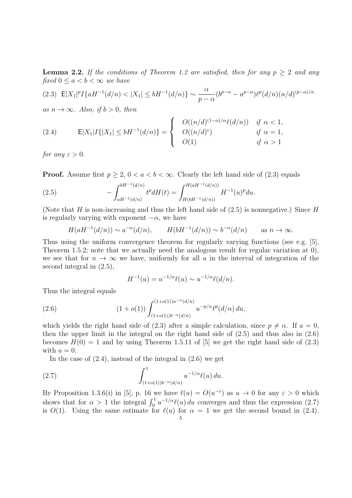**Lemma 2.2.** If the conditions of Theorem 1.2 are satisfied, then for any  $p \geq 2$  and any *fixed*  $0 \leq a < b < \infty$  *we have* 

$$
(2.3) \quad \mathsf{E}|X_1|^p I\{aH^{-1}(d/n) < |X_1| \le bH^{-1}(d/n)\} \sim \frac{\alpha}{p-\alpha} (b^{p-\alpha} - a^{p-\alpha}) \ell^p (d/n) (n/d)^{(p-\alpha)/\alpha}
$$

 $as n \rightarrow \infty$ *. Also, if*  $b > 0$ *, then* 

(2.4) 
$$
E|X_1|I\{|X_1| \le bH^{-1}(d/n)\} = \begin{cases} O((n/d)^{(1-\alpha)/\alpha}\ell(d/n)) & \text{if } \alpha < 1, \\ O((n/d)^{\varepsilon}) & \text{if } \alpha = 1, \\ O(1) & \text{if } \alpha > 1 \end{cases}
$$

*for any*  $\varepsilon > 0$ *.* 

**Proof.** Assume first  $p \geq 2$ ,  $0 < a < b < \infty$ . Clearly the left hand side of (2.3) equals

(2.5) 
$$
- \int_{aH^{-1}(d/n)}^{bH^{-1}(d/n)} t^p dH(t) = \int_{H(bH^{-1}(d/n))}^{H(aH^{-1}(d/n))} H^{-1}(u)^p du.
$$

(Note that *H* is non-increasing and thus the left hand side of (2.5) is nonnegative.) Since *H* is regularly varying with exponent  $-\alpha$ , we have

$$
H(aH^{-1}(d/n)) \sim a^{-\alpha}(d/n), \qquad H(bH^{-1}(d/n)) \sim b^{-\alpha}(d/n) \qquad \text{as } n \to \infty.
$$

Thus using the uniform convergence theorem for regularly varying functions (see e.g. [5], Theorem 1.5.2; note that we actually need the analogous result for regular variation at 0), we see that for  $n \to \infty$  we have, uniformly for all u in the interval of integration of the second integral in (2.5),

$$
H^{-1}(u) = u^{-1/\alpha} \ell(u) \sim u^{-1/\alpha} \ell(d/n).
$$

Thus the integral equals

(2.6) 
$$
(1+o(1))\int_{(1+o(1))b^{-\alpha}(d/n)}^{(1+o(1))a^{-\alpha}(d/n)}u^{-p/\alpha}\ell^p(d/n) du,
$$

which yields the right hand side of (2.3) after a simple calculation, since  $p \neq \alpha$ . If  $a = 0$ , then the upper limit in the integral on the right hand side of  $(2.5)$  and thus also in  $(2.6)$ becomes  $H(0) = 1$  and by using Theorem 1.5.11 of [5] we get the right hand side of (2.3) with  $a = 0$ .

In the case of  $(2.4)$ , instead of the integral in  $(2.6)$  we get

(2.7) 
$$
\int_{(1+o(1))b^{-\alpha}(d/n)}^{1} u^{-1/\alpha} \ell(u) du.
$$

By Proposition 1.3.6(i) in [5], p. 16 we have  $\ell(u) = O(u^{-\epsilon})$  as  $u \to 0$  for any  $\varepsilon > 0$  which shows that for  $\alpha > 1$  the integral  $\int_0^1 u^{-1/\alpha} \ell(u) du$  converges and thus the expression (2.7) is  $O(1)$ . Using the same estimate for  $\ell(u)$  for  $\alpha = 1$  we get the second bound in (2.4).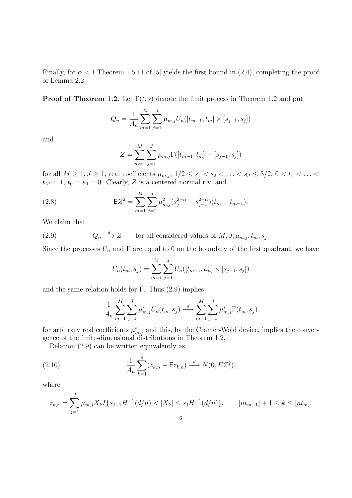Finally, for  $\alpha < 1$  Theorem 1.5.11 of [5] yields the first bound in (2.4), completing the proof of Lemma 2.2.

**Proof of Theorem 1.2.** Let  $\Gamma(t, s)$  denote the limit process in Theorem 1.2 and put

$$
Q_n = \frac{1}{A_n} \sum_{m=1}^{M} \sum_{j=1}^{J} \mu_{m,j} U_n([t_{m-1}, t_m] \times [s_{j-1}, s_j])
$$

and

$$
Z = \sum_{m=1}^{M} \sum_{j=1}^{J} \mu_{m,j} \Gamma([t_{m-1}, t_m] \times [s_{j-1}, s_j])
$$

for all  $M \ge 1, J \ge 1$ , real coefficients  $\mu_{m,j}$ ,  $1/2 \le s_1 < s_2 < \ldots < s_J \le 3/2, 0 < t_1 < \ldots <$  $t_M = 1, t_0 = s_0 = 0$ . Clearly, *Z* is a centered normal r.v. and

(2.8) 
$$
\mathsf{E}Z^{2} = \sum_{m=1}^{M} \sum_{j=1}^{J} \mu_{m,j}^{2} (s_{j}^{2-\alpha} - s_{j-1}^{2-\alpha})(t_{m} - t_{m-1}).
$$

We claim that

 $(2.9)$  $Q_n \stackrel{d}{\longrightarrow} Z$  $\longrightarrow$  *Z* for all considered values of *M, J,*  $\mu_{m,j}, t_m, s_j$ *.* 

Since the processes  $U_n$  and  $\Gamma$  are equal to 0 on the boundary of the first quadrant, we have

$$
U_n(t_m, s_j) = \sum_{m=1}^{M} \sum_{j=1}^{J} U_n([t_{m-1}, t_m] \times [s_{j-1}, s_j])
$$

and the same relation holds for  $\Gamma$ . Thus (2.9) implies

$$
\frac{1}{A_n} \sum_{m=1}^{M} \sum_{j=1}^{J} \mu_{m,j}^* U_n(t_m, s_j) \stackrel{d}{\longrightarrow} \sum_{m=1}^{M} \sum_{j=1}^{J} \mu_{m,j}^* \Gamma(t_m, s_j)
$$

for arbitrary real coefficients  $\mu^*_{m,j}$  and this, by the Cramér-Wold device, implies the convergence of the finite-dimensional distributions in Theorem 1.2.

Relation (2.9) can be written equivalently as

(2.10) 
$$
\frac{1}{A_n} \sum_{k=1}^n (z_{k,n} - \mathsf{E}z_{k,n}) \xrightarrow{d} N(0, EZ^2),
$$

where

$$
z_{k,n} = \sum_{j=1}^{J} \mu_{m,j} X_k I\{s_{j-1} H^{-1}(d/n) < |X_k| \le s_j H^{-1}(d/n)\}, \qquad [nt_{m-1}] + 1 \le k \le [nt_m].
$$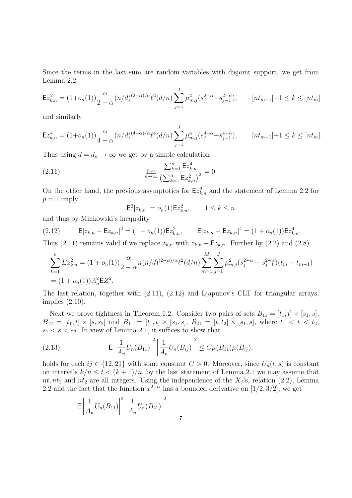Since the terms in the last sum are random variables with disjoint support, we get from Lemma 2.2

$$
\mathsf{E}z_{k,n}^2 = (1+o_n(1))\frac{\alpha}{2-\alpha}(n/d)^{(2-\alpha)/\alpha} \ell^2(d/n) \sum_{j=1}^J \mu_{m,j}^2(s_j^{2-\alpha}-s_{j-1}^{2-\alpha}), \qquad [nt_{m-1}]+1 \le k \le [nt_m]
$$

and similarly

$$
\mathsf{E}z_{k,n}^4 = (1+o_n(1))\frac{\alpha}{4-\alpha}(n/d)^{(4-\alpha)/\alpha}\ell^4(d/n)\sum_{j=1}^J\mu_{m,j}^4(s_j^{4-\alpha}-s_{j-1}^{4-\alpha}), \qquad [nt_{m-1}]+1 \le k \le [nt_m].
$$

Thus using  $d = d_n \to \infty$  we get by a simple calculation

(2.11) 
$$
\lim_{n \to \infty} \frac{\sum_{k=1}^{n} \mathsf{E} z_{k,n}^4}{\left(\sum_{k=1}^{n} \mathsf{E} z_{k,n}^2\right)^2} = 0.
$$

On the other hand, the previous asymptotics for  $\mathsf{E} z_{k,n}^2$  and the statement of Lemma 2.2 for  $p = 1$  imply

$$
\mathsf{E}^2 |z_{k,n}| = o_n(1) \mathsf{E} z_{k,n}^2, \qquad 1 \le k \le n
$$

and thus by Minkowski's inequality

$$
(2.12) \t\t\t\t\mathsf{E}|z_{k,n} - \mathsf{E}z_{k,n}|^2 = (1 + o_n(1))\mathsf{E}z_{k,n}^2, \t\t\t\mathsf{E}|z_{k,n} - \mathsf{E}z_{k,n}|^4 = (1 + o_n(1))\mathsf{E}z_{k,n}^4.
$$

Thus (2.11) remains valid if we replace  $z_{k,n}$  with  $z_{k,n} - \mathsf{E}z_{k,n}$ . Further by (2.2) and (2.8)

$$
\sum_{k=1}^{n} E z_{k,n}^{2} = (1 + o_n(1)) \frac{\alpha}{2 - \alpha} n(n/d)^{(2 - \alpha)/\alpha} \ell^{2}(d/n) \sum_{m=1}^{M} \sum_{j=1}^{J} \mu_{m,j}^{2}(s_{j}^{2 - \alpha} - s_{j-1}^{2 - \alpha})(t_m - t_{m-1})
$$
  
=  $(1 + o_n(1)) A_n^{2} \mathbf{E} Z^{2}$ .

The last relation, together with (2.11), (2.12) and Ljapunov's CLT for triangular arrays, implies (2.10).

Next we prove tightness in Theorem 1.2. Consider two pairs of sets  $B_{11} = [t_1, t] \times [s_1, s]$ ,  $B_{12} = [t_1, t] \times [s, s_2]$  and  $B_{11} = [t_1, t] \times [s_1, s], B_{21} = [t, t_2] \times [s_1, s],$  where  $t_1 < t < t_2$ ,  $s_1 < s < s_2$ . In view of Lemma 2.1, it suffices to show that

(2.13) 
$$
\mathsf{E}\left|\frac{1}{A_n}U_n(B_{11})\right|^2\left|\frac{1}{A_n}U_n(B_{ij})\right|^2\leq C\mu(B_{11})\mu(B_{ij}),
$$

holds for each  $ij \in \{12, 21\}$  with some constant  $C > 0$ . Moreover, since  $U_n(t, s)$  is constant on intervals  $k/n \le t < (k+1)/n$ , by the last statement of Lemma 2.1 we may assume that  $nt, nt_1$  and  $nt_2$  are all integers. Using the independence of the  $X_j$ 's, relation (2.2), Lemma 2.2 and the fact that the function  $x^{2-\alpha}$  has a bounded derivative on [1/2*,* 3/2], we get

7

$$
\mathsf{E}\left|\frac{1}{A_n}U_n(B_{11})\right|^2\left|\frac{1}{A_n}U_n(B_{21})\right|^2
$$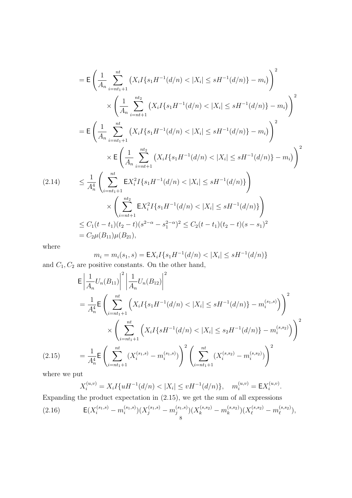$$
\begin{split}\n&= \mathsf{E}\left(\frac{1}{A_n}\sum_{i=nt_1+1}^{nt}\left(X_iI\{s_1H^{-1}(d/n) < |X_i| \le sH^{-1}(d/n)\} - m_i\right)^2 \\
&\times \left(\frac{1}{A_n}\sum_{i=nt+1}^{nt_2}\left(X_iI\{s_1H^{-1}(d/n) < |X_i| \le sH^{-1}(d/n)\} - m_i\right)\right)^2 \\
&= \mathsf{E}\left(\frac{1}{A_n}\sum_{i=nt_1+1}^{nt}\left(X_iI\{s_1H^{-1}(d/n) < |X_i| \le sH^{-1}(d/n)\} - m_i\right)\right)^2 \\
&\times \mathsf{E}\left(\frac{1}{A_n}\sum_{i=nt+1}^{nt_2}\left(X_iI\{s_1H^{-1}(d/n) < |X_i| \le sH^{-1}(d/n)\} - m_i\right)\right)^2 \\
&\times \left(\sum_{i=nt_1+1}^{nt} \mathsf{E}X_i^2I\{s_1H^{-1}(d/n) < |X_i| \le sH^{-1}(d/n)\}\right) \\
&\times \left(\sum_{i=nt+1}^{nt_2} \mathsf{E}X_i^2I\{s_1H^{-1}(d/n) < |X_i| \le sH^{-1}(d/n)\}\right) \\
&\le C_1(t-t_1)(t_2-t)(s^{2-\alpha} - s_1^{2-\alpha})^2 \le C_2(t-t_1)(t_2-t)(s-s_1)^2 \\
&= C_2\mu(B_{11})\mu(B_{21}),\n\end{split}
$$

where

$$
m_i = m_i(s_1, s) = \mathsf{E}X_i I\{s_1 H^{-1}(d/n) < |X_i| \le sH^{-1}(d/n)\}
$$
\npositive constants. On the other hand

and 
$$
C_1, C_2
$$
 are positive constants. On the other hand,

$$
\mathsf{E}\left|\frac{1}{A_n}U_n(B_{11})\right|^2\left|\frac{1}{A_n}U_n(B_{12})\right|^2
$$
\n
$$
=\frac{1}{A_n^4}\mathsf{E}\left(\sum_{i=nt_1+1}^{nt}\left(X_iI\{s_1H^{-1}(d/n) < |X_i| \le sH^{-1}(d/n)\} - m_i^{(s_1,s)}\right)\right)^2
$$
\n
$$
\times\left(\sum_{i=nt_1+1}^{nt}\left(X_iI\{sH^{-1}(d/n) < |X_i| \le s_2H^{-1}(d/n)\} - m_i^{(s,s_2)}\right)\right)^2
$$
\n
$$
(2.15)\qquad = \frac{1}{A_n^4}\mathsf{E}\left(\sum_{i=nt_1+1}^{nt}(X_i^{(s_1,s)} - m_i^{(s_1,s)})\right)^2\left(\sum_{i=nt_1+1}^{nt}(X_i^{(s,s_2)} - m_i^{(s,s_2)})\right)^2
$$
\nwhere we put

where we put

$$
X_i^{(u,v)} = X_i I\{uH^{-1}(d/n) < |X_i| \le vH^{-1}(d/n)\}, \quad m_i^{(u,v)} = \mathsf{E}X_i^{(u,v)}.
$$

Expanding the product expectation in (2.15), we get the sum of all expressions

(2.16) 
$$
E(X_i^{(s_1,s)} - m_i^{(s_1,s)})(X_j^{(s_1,s)} - m_j^{(s_1,s)})(X_k^{(s,s_2)} - m_k^{(s,s_2)})(X_\ell^{(s,s_2)} - m_\ell^{(s,s_2)}),
$$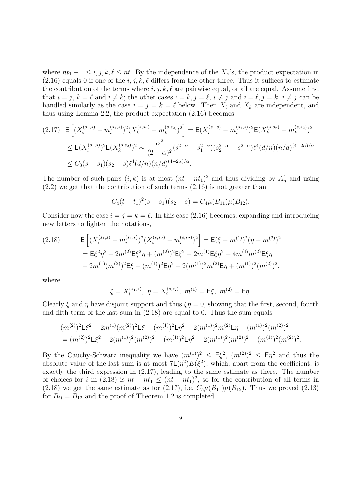where  $nt_1 + 1 \leq i, j, k, \ell \leq nt$ . By the independence of the  $X_{\nu}$ 's, the product expectation in  $(2.16)$  equals 0 if one of the  $i, j, k, \ell$  differs from the other three. Thus it suffices to estimate the contribution of the terms where  $i, j, k, \ell$  are pairwise equal, or all are equal. Assume first that  $i = j, k = \ell$  and  $i \neq k$ ; the other cases  $i = k, j = \ell, i \neq j$  and  $i = \ell, j = k, i \neq j$  can be handled similarly as the case  $i = j = k = \ell$  below. Then  $X_i$  and  $X_k$  are independent, and thus using Lemma 2.2, the product expectation (2.16) becomes

$$
(2.17) \mathbf{E}\left[ (X_i^{(s_1,s)} - m_i^{(s_1,s)})^2 (X_k^{(s,s_2)} - m_k^{(s,s_2)})^2 \right] = \mathbf{E}(X_i^{(s_1,s)} - m_i^{(s_1,s)})^2 \mathbf{E}(X_k^{(s,s_2)} - m_k^{(s,s_2)})^2
$$
  
\n
$$
\leq \mathbf{E}(X_i^{(s_1,s)})^2 \mathbf{E}(X_k^{(s,s_2)})^2 \sim \frac{\alpha^2}{(2-\alpha)^2} (s^{2-\alpha} - s_1^{2-\alpha}) (s_2^{2-\alpha} - s^{2-\alpha}) \ell^4(d/n) (n/d)^{(4-2\alpha)/\alpha}
$$
  
\n
$$
\leq C_3 (s-s_1)(s_2 - s) \ell^4(d/n) (n/d)^{(4-2\alpha)/\alpha}.
$$

The number of such pairs  $(i, k)$  is at most  $(nt - nt_1)^2$  and thus dividing by  $A_n^4$  and using  $(2.2)$  we get that the contribution of such terms  $(2.16)$  is not greater than

$$
C_4(t-t_1)^2(s-s_1)(s_2-s)=C_4\mu(B_{11})\mu(B_{12}).
$$

Consider now the case  $i = j = k = \ell$ . In this case (2.16) becomes, expanding and introducing new letters to lighten the notations,

(2.18) 
$$
\mathsf{E}\left[ (X_i^{(s_1,s)} - m_i^{(s_1,s)})^2 (X_i^{(s,s_2)} - m_i^{(s,s_2)})^2 \right] = \mathsf{E}(\xi - m^{(1)})^2 (\eta - m^{(2)})^2
$$

$$
= \mathsf{E}\xi^2 \eta^2 - 2m^{(2)} \mathsf{E}\xi^2 \eta + (m^{(2)})^2 \mathsf{E}\xi^2 - 2m^{(1)} \mathsf{E}\xi \eta^2 + 4m^{(1)}m^{(2)} \mathsf{E}\xi \eta
$$

$$
- 2m^{(1)}(m^{(2)})^2 \mathsf{E}\xi + (m^{(1)})^2 \mathsf{E}\eta^2 - 2(m^{(1)})^2 m^{(2)} \mathsf{E}\eta + (m^{(1)})^2 (m^{(2)})^2,
$$

where

$$
\xi = X_i^{(s_1, s)}, \ \eta = X_i^{(s, s_2)}, \ m^{(1)} = \mathsf{E}\xi, \ m^{(2)} = \mathsf{E}\eta.
$$

Clearly *ξ* and *η* have disjoint support and thus  $\xi \eta = 0$ , showing that the first, second, fourth and fifth term of the last sum in (2.18) are equal to 0. Thus the sum equals

$$
(m^{(2)})^2 \mathsf{E} \xi^2 - 2m^{(1)}(m^{(2)})^2 \mathsf{E} \xi + (m^{(1)})^2 \mathsf{E} \eta^2 - 2(m^{(1)})^2 m^{(2)} \mathsf{E} \eta + (m^{(1)})^2 (m^{(2)})^2
$$
  
= 
$$
(m^{(2)})^2 \mathsf{E} \xi^2 - 2(m^{(1)})^2 (m^{(2)})^2 + (m^{(1)})^2 \mathsf{E} \eta^2 - 2(m^{(1)})^2 (m^{(2)})^2 + (m^{(1)})^2 (m^{(2)})^2.
$$

By the Cauchy-Schwarz inequality we have  $(m^{(1)})^2 \leq E\xi^2$ ,  $(m^{(2)})^2 \leq E\eta^2$  and thus the absolute value of the last sum is at most  $7E(\eta^2)E(\xi^2)$ , which, apart from the coefficient, is exactly the third expression in (2.17), leading to the same estimate as there. The number of choices for *i* in (2.18) is  $nt - nt_1 \leq (nt - nt_1)^2$ , so for the contribution of all terms in (2.18) we get the same estimate as for (2.17), i.e.  $C_5\mu(B_{11})\mu(B_{12})$ . Thus we proved (2.13) for  $B_{ij} = B_{12}$  and the proof of Theorem 1.2 is completed.